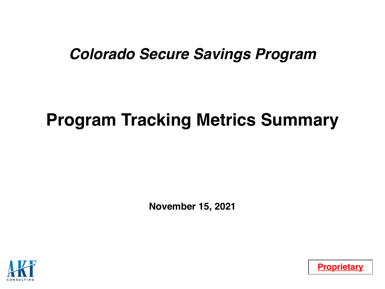## *Colorado Secure Savings Program*

# **Program Tracking Metrics Summary**

**November 15, 2021**



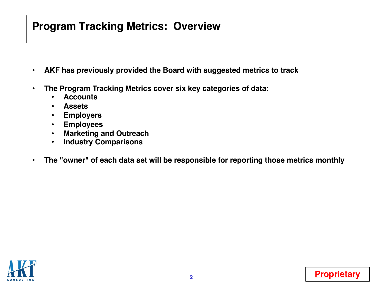### **Program Tracking Metrics: Overview**

- **AKF has previously provided the Board with suggested metrics to track**
- **The Program Tracking Metrics cover six key categories of data:**
	- **Accounts**
	- **Assets**
	- **Employers**
	- **Employees**
	- **Marketing and Outreach**
	- **Industry Comparisons**
- **The "owner" of each data set will be responsible for reporting those metrics monthly**



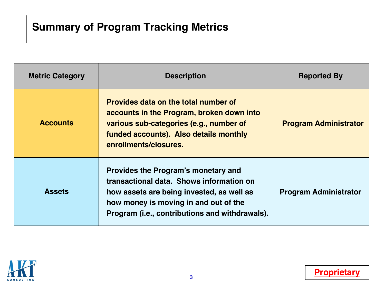### **Summary of Program Tracking Metrics**

| <b>Metric Category</b> | <b>Description</b>                                                                                                                                                                                                             | <b>Reported By</b>           |
|------------------------|--------------------------------------------------------------------------------------------------------------------------------------------------------------------------------------------------------------------------------|------------------------------|
| <b>Accounts</b>        | <b>Provides data on the total number of</b><br>accounts in the Program, broken down into<br>various sub-categories (e.g., number of<br>funded accounts). Also details monthly<br>enrollments/closures.                         | <b>Program Administrator</b> |
| <b>Assets</b>          | <b>Provides the Program's monetary and</b><br>transactional data. Shows information on<br>how assets are being invested, as well as<br>how money is moving in and out of the<br>Program (i.e., contributions and withdrawals). | <b>Program Administrator</b> |

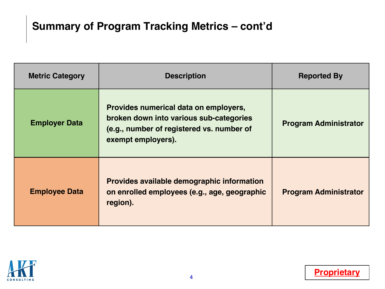### **Summary of Program Tracking Metrics – cont'd**

| <b>Metric Category</b> | <b>Description</b>                                                                                                                                  | <b>Reported By</b>           |
|------------------------|-----------------------------------------------------------------------------------------------------------------------------------------------------|------------------------------|
| <b>Employer Data</b>   | Provides numerical data on employers,<br>broken down into various sub-categories<br>(e.g., number of registered vs. number of<br>exempt employers). | <b>Program Administrator</b> |
| <b>Employee Data</b>   | Provides available demographic information<br>on enrolled employees (e.g., age, geographic<br>region).                                              | <b>Program Administrator</b> |

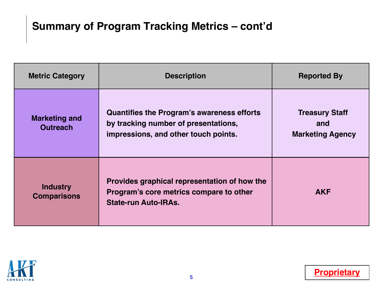### **Summary of Program Tracking Metrics – cont'd**

| <b>Metric Category</b>                  | <b>Description</b>                                                                                                         | <b>Reported By</b>                                      |
|-----------------------------------------|----------------------------------------------------------------------------------------------------------------------------|---------------------------------------------------------|
| <b>Marketing and</b><br><b>Outreach</b> | Quantifies the Program's awareness efforts<br>by tracking number of presentations,<br>impressions, and other touch points. | <b>Treasury Staff</b><br>and<br><b>Marketing Agency</b> |
| <b>Industry</b><br><b>Comparisons</b>   | Provides graphical representation of how the<br>Program's core metrics compare to other<br><b>State-run Auto-IRAs.</b>     | <b>AKF</b>                                              |